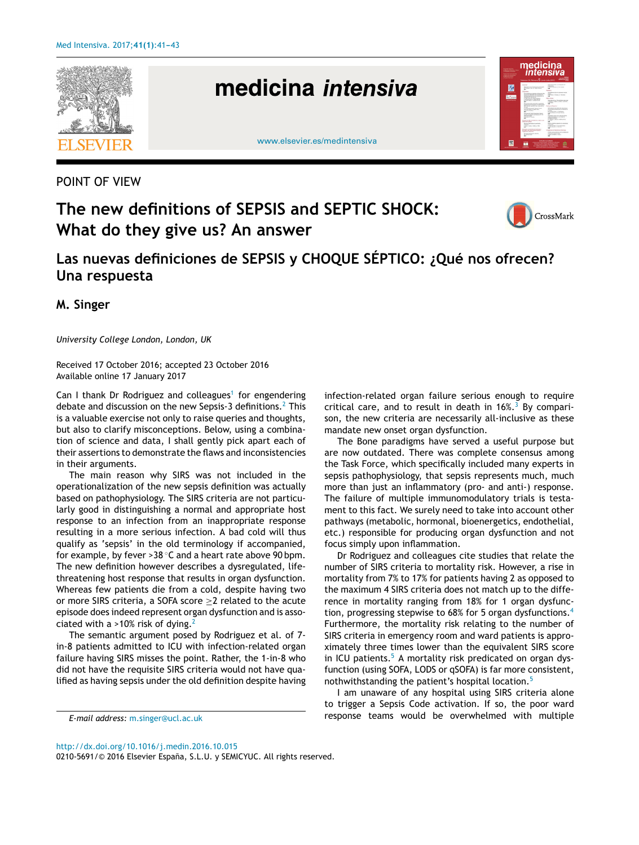

POINT OF VIEW

# **The new definitions of SEPSIS and SEPTIC SHOCK: What do they give us? An answer**



**Las nuevas definiciones de SEPSIS y CHOQUE SÉPTICO: ¿Qué nos ofrecen? Una respuesta**

**M. Singer**

*University College London, London, UK*

Received 17 October 2016; accepted 23 October 2016 Available online 17 January 2017

Can I thank Dr Rodriguez and colleagues<sup>[1](#page-2-0)</sup> for engendering debate and discussion on the new Sepsis-3 definitions.<sup>2</sup> [T](#page-2-0)his is a valuable exercise not only to raise queries and thoughts, but also to clarify misconceptions. Below, using a combination of science and data, I shall gently pick apart each of their assertions to demonstrate the flaws and inconsistencies in their arguments.

The main reason why SIRS was not included in the operationalization of the new sepsis definition was actually based on pathophysiology. The SIRS criteria are not particularly good in distinguishing a normal and appropriate host response to an infection from an inappropriate response resulting in a more serious infection. A bad cold will thus qualify as 'sepsis' in the old terminology if accompanied, for example, by fever > 38  $\degree$ C and a heart rate above 90 bpm. The new definition however describes a dysregulated, lifethreatening host response that results in organ dysfunction. Whereas few patients die from a cold, despite having two or more SIRS criteria, a SOFA score  $\geq$ 2 related to the acute episode does indeed represent organ dysfunction and is associated with a  $>10\%$  risk of dying.<sup>[2](#page-2-0)</sup>

The semantic argument posed by Rodriguez et al. of 7 in-8 patients admitted to ICU with infection-related organ failure having SIRS misses the point. Rather, the 1-in-8 who did not have the requisite SIRS criteria would not have qualified as having sepsis under the old definition despite having infection-related organ failure serious enough to require critical care, and to result in death in  $16\%$ .<sup>[3](#page-2-0)</sup> By comparison, the new criteria are necessarily all-inclusive as these mandate new onset organ dysfunction.

The Bone paradigms have served a useful purpose but are now outdated. There was complete consensus among the Task Force, which specifically included many experts in sepsis pathophysiology, that sepsis represents much, much more than just an inflammatory (pro- and anti-) response. The failure of multiple immunomodulatory trials is testament to this fact. We surely need to take into account other pathways (metabolic, hormonal, bioenergetics, endothelial, etc.) responsible for producing organ dysfunction and not focus simply upon inflammation.

Dr Rodriguez and colleagues cite studies that relate the number of SIRS criteria to mortality risk. However, a rise in mortality from 7% to 17% for patients having 2 as opposed to the maximum 4 SIRS criteria does not match up to the difference in mortality ranging from 18% for 1 organ dysfunc-tion, progressing stepwise to 68% for 5 organ dysfunctions.<sup>[4](#page-2-0)</sup> Furthermore, the mortality risk relating to the number of SIRS criteria in emergency room and ward patients is approximately three times lower than the equivalent SIRS score in ICU patients. $5$  A mortality risk predicated on organ dysfunction (using SOFA, LODS or qSOFA) is far more consistent, nothwithstanding the patient's hospital location.<sup>[5](#page-2-0)</sup>

I am unaware of any hospital using SIRS criteria alone to trigger a Sepsis Code activation. If so, the poor ward response teams would be overwhelmed with multiple

[http://dx.doi.org/10.1016/j.medin.2016.10.015](dx.doi.org/10.1016/j.medin.2016.10.015)

0210-5691/© 2016 Elsevier España, S.L.U. y SEMICYUC. All rights reserved.

*E-mail address:* [m.singer@ucl.ac.uk](mailto:m.singer@ucl.ac.uk)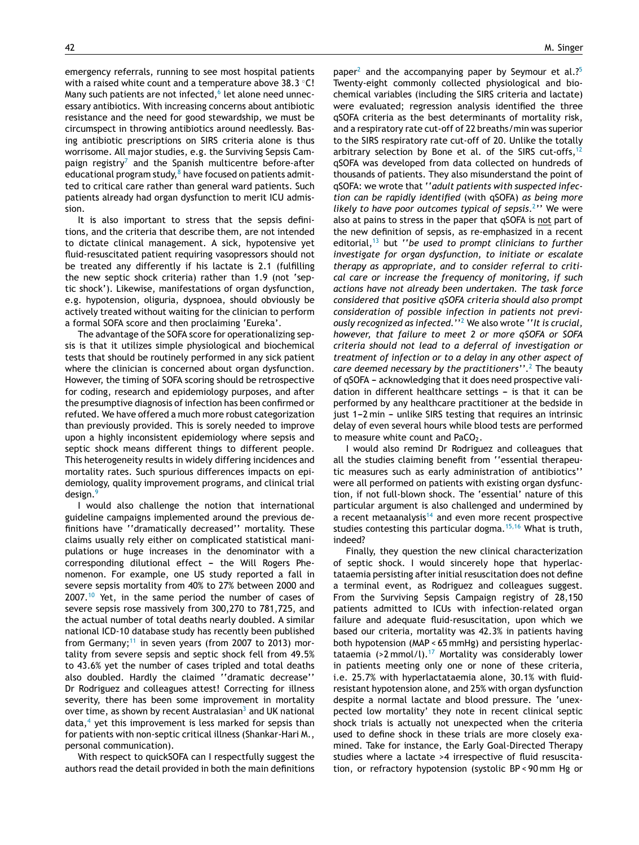emergency referrals, running to see most hospital patients with a raised white count and a temperature above 38.3 °C! Many such patients are not infected,<sup>6</sup> [le](#page-2-0)t alone need unnecessary antibiotics. With increasing concerns about antibiotic resistance and the need for good stewardship, we must be circumspect in throwing antibiotics around needlessly. Basing antibiotic prescriptions on SIRS criteria alone is thus worrisome. All major studies, e.g. the Surviving Sepsis Cam-paign registry<sup>[7](#page-2-0)</sup> and the Spanish multicentre before-after educational program study, $8$  [h](#page-2-0)ave focused on patients admitted to critical care rather than general ward patients. Such patients already had organ dysfunction to merit ICU admission.

It is also important to stress that the sepsis definitions, and the criteria that describe them, are not intended to dictate clinical management. A sick, hypotensive yet fluid-resuscitated patient requiring vasopressors should not be treated any differently if his lactate is 2.1 (fulfilling the new septic shock criteria) rather than 1.9 (not 'septic shock'). Likewise, manifestations of organ dysfunction, e.g. hypotension, oliguria, dyspnoea, should obviously be actively treated without waiting for the clinician to perform a formal SOFA score and then proclaiming 'Eureka'.

The advantage of the SOFA score for operationalizing sepsis is that it utilizes simple physiological and biochemical tests that should be routinely performed in any sick patient where the clinician is concerned about organ dysfunction. However, the timing of SOFA scoring should be retrospective for coding, research and epidemiology purposes, and after the presumptive diagnosis of infection has been confirmed or refuted. We have offered a much more robust categorization than previously provided. This is sorely needed to improve upon a highly inconsistent epidemiology where sepsis and septic shock means different things to different people. This heterogeneity results in widely differing incidences and mortality rates. Such spurious differences impacts on epidemiology, quality improvement programs, and clinical trial design.<sup>[9](#page-2-0)</sup>

I would also challenge the notion that international guideline campaigns implemented around the previous definitions have ''dramatically decreased'' mortality. These claims usually rely either on complicated statistical manipulations or huge increases in the denominator with a  $corresponding$  dilutional effect  $-$  the Will Rogers Phenomenon. For example, one US study reported a fall in severe sepsis mortality from 40% to 27% between 2000 and 2007.[10](#page-2-0) Yet, in the same period the number of cases of severe sepsis rose massively from 300,270 to 781,725, and the actual number of total deaths nearly doubled. A similar national ICD-10 database study has recently been published from Germany;<sup>[11](#page-2-0)</sup> in seven years (from 2007 to 2013) mortality from severe sepsis and septic shock fell from 49.5% to 43.6% yet the number of cases tripled and total deaths also doubled. Hardly the claimed ''dramatic decrease'' Dr Rodriguez and colleagues attest! Correcting for illness severity, there has been some improvement in mortality over time, [a](#page-2-0)s shown by recent Australasian $3$  and UK national  $data<sup>4</sup>$  $data<sup>4</sup>$  $data<sup>4</sup>$  yet this improvement is less marked for sepsis than for patients with non-septic critical illness (Shankar-Hari M., personal communication).

With respect to quickSOFA can I respectfully suggest the authors read the detail provided in both the main definitions

paper<sup>[2](#page-2-0)</sup> and the accompanying paper by Seymour et al.?<sup>[5](#page-2-0)</sup> Twenty-eight commonly collected physiological and biochemical variables (including the SIRS criteria and lactate) were evaluated; regression analysis identified the three qSOFA criteria as the best determinants of mortality risk, and a respiratory rate cut-off of 22 breaths/min was superior to the SIRS respiratory rate cut-off of 20. Unlike the totally arbitrary selection by Bone et al. of the SIRS cut-offs,  $12$ qSOFA was developed from data collected on hundreds of thousands of patients. They also misunderstand the point of qSOFA: we wrote that ''*adult patients with suspected infection can be rapidly identified* (with qSOFA) *as being more likely to have poor outcomes typical of sepsis*. 2 [''](#page-2-0) We were also at pains to stress in the paper that qSOFA is not part of the new definition of sepsis, as re-emphasized in a recent editorial,[13](#page-2-0) but ''*be used to prompt clinicians to further investigate for organ dysfunction, to initiate or escalate therapy as appropriate, and to consider referral to critical care or increase the frequency of monitoring, if such actions have not already been undertaken. The task force considered that positive qSOFA criteria should also prompt consideration of possible infection in patients not previously recognized as infected.*'' <sup>2</sup> [W](#page-2-0)e also wrote ''*It is crucial, however, that failure to meet 2 or more qSOFA or SOFA criteria should not lead to a deferral of investigation or treatment of infection or to a delay in any other aspect of care deemed necessary by the practitioners''*. [2](#page-2-0) The beauty of qSOFA - acknowledging that it does need prospective validation in different healthcare settings  $-$  is that it can be performed by any healthcare practitioner at the bedside in just 1-2 min - unlike SIRS testing that requires an intrinsic delay of even several hours while blood tests are performed to measure white count and  $PaCO<sub>2</sub>$ .

I would also remind Dr Rodriguez and colleagues that all the studies claiming benefit from ''essential therapeutic measures such as early administration of antibiotics'' were all performed on patients with existing organ dysfunction, if not full-blown shock. The 'essential' nature of this particular argument is also challenged and undermined by a recent metaanalysis<sup>[14](#page-2-0)</sup> and even more recent prospective studies contesting this particular dogma.<sup>[15,16](#page-2-0)</sup> What is truth, indeed?

Finally, they question the new clinical characterization of septic shock. I would sincerely hope that hyperlactataemia persisting after initial resuscitation does not define a terminal event, as Rodriguez and colleagues suggest. From the Surviving Sepsis Campaign registry of 28,150 patients admitted to ICUs with infection-related organ failure and adequate fluid-resuscitation, upon which we based our criteria, mortality was 42.3% in patients having both hypotension (MAP < 65 mmHg) and persisting hyperlac-tataemia (>2 mmol/l).<sup>[17](#page-2-0)</sup> Mortality was considerably lower in patients meeting only one or none of these criteria, i.e. 25.7% with hyperlactataemia alone, 30.1% with fluidresistant hypotension alone, and 25% with organ dysfunction despite a normal lactate and blood pressure. The 'unexpected low mortality' they note in recent clinical septic shock trials is actually not unexpected when the criteria used to define shock in these trials are more closely examined. Take for instance, the Early Goal-Directed Therapy studies where a lactate >4 irrespective of fluid resuscitation, or refractory hypotension (systolic BP < 90 mm Hg or